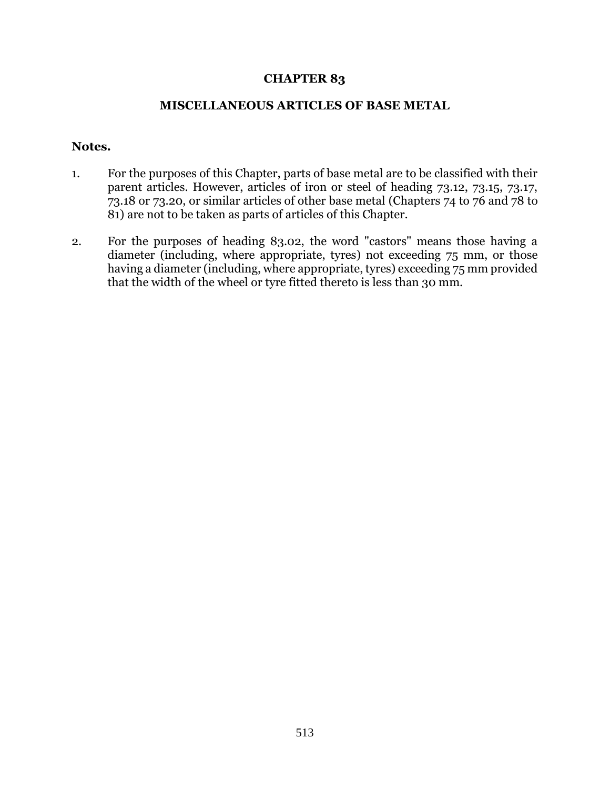## **CHAPTER 83**

## **MISCELLANEOUS ARTICLES OF BASE METAL**

## **Notes.**

- 1. For the purposes of this Chapter, parts of base metal are to be classified with their parent articles. However, articles of iron or steel of heading 73.12, 73.15, 73.17, 73.18 or 73.20, or similar articles of other base metal (Chapters 74 to 76 and 78 to 81) are not to be taken as parts of articles of this Chapter.
- 2. For the purposes of heading 83.02, the word "castors" means those having a diameter (including, where appropriate, tyres) not exceeding 75 mm, or those having a diameter (including, where appropriate, tyres) exceeding 75 mm provided that the width of the wheel or tyre fitted thereto is less than 30 mm.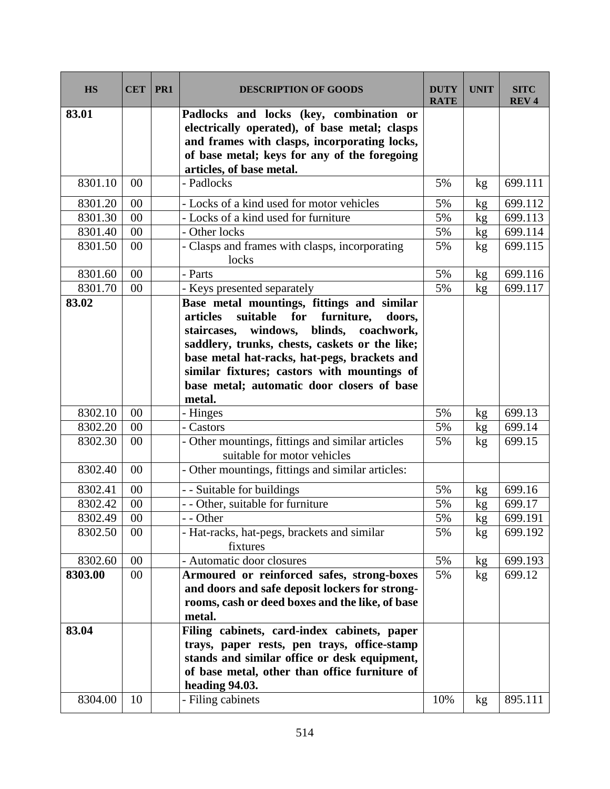| <b>HS</b>        | <b>CET</b> | PR <sub>1</sub> | <b>DESCRIPTION OF GOODS</b>                                                                                                                                                                                                                                                                                                                                    | <b>DUTY</b><br><b>RATE</b> | <b>UNIT</b> | <b>SITC</b><br><b>REV4</b> |
|------------------|------------|-----------------|----------------------------------------------------------------------------------------------------------------------------------------------------------------------------------------------------------------------------------------------------------------------------------------------------------------------------------------------------------------|----------------------------|-------------|----------------------------|
| 83.01            |            |                 | Padlocks and locks (key, combination or<br>electrically operated), of base metal; clasps<br>and frames with clasps, incorporating locks,<br>of base metal; keys for any of the foregoing<br>articles, of base metal.                                                                                                                                           |                            |             |                            |
| 8301.10          | $00\,$     |                 | - Padlocks                                                                                                                                                                                                                                                                                                                                                     | 5%                         | kg          | 699.111                    |
| 8301.20          | 00         |                 | - Locks of a kind used for motor vehicles                                                                                                                                                                                                                                                                                                                      | 5%                         | kg          | 699.112                    |
| 8301.30          | 00         |                 | - Locks of a kind used for furniture                                                                                                                                                                                                                                                                                                                           | 5%                         | kg          | 699.113                    |
| 8301.40          | 00         |                 | - Other locks                                                                                                                                                                                                                                                                                                                                                  | 5%                         | kg          | 699.114                    |
| 8301.50          | 00         |                 | - Clasps and frames with clasps, incorporating<br>locks                                                                                                                                                                                                                                                                                                        | 5%                         | kg          | 699.115                    |
| 8301.60          | 00         |                 | - Parts                                                                                                                                                                                                                                                                                                                                                        | 5%                         | kg          | 699.116                    |
| 8301.70          | 00         |                 | - Keys presented separately                                                                                                                                                                                                                                                                                                                                    | 5%                         | kg          | 699.117                    |
| 83.02            |            |                 | Base metal mountings, fittings and similar<br>suitable<br>for<br>furniture,<br>articles<br>doors,<br>windows,<br>staircases,<br>blinds,<br>coachwork,<br>saddlery, trunks, chests, caskets or the like;<br>base metal hat-racks, hat-pegs, brackets and<br>similar fixtures; castors with mountings of<br>base metal; automatic door closers of base<br>metal. |                            |             |                            |
| 8302.10          | 00         |                 | - Hinges                                                                                                                                                                                                                                                                                                                                                       | 5%                         | kg          | 699.13                     |
| 8302.20          | 00         |                 | - Castors                                                                                                                                                                                                                                                                                                                                                      | 5%                         | kg          | 699.14                     |
| 8302.30          | 00         |                 | - Other mountings, fittings and similar articles<br>suitable for motor vehicles                                                                                                                                                                                                                                                                                | 5%                         | kg          | 699.15                     |
| 8302.40          | 00         |                 | - Other mountings, fittings and similar articles:                                                                                                                                                                                                                                                                                                              |                            |             |                            |
| 8302.41          | 00         |                 | - - Suitable for buildings                                                                                                                                                                                                                                                                                                                                     | 5%                         | kg          | 699.16                     |
| 8302.42          | 00         |                 | - - Other, suitable for furniture                                                                                                                                                                                                                                                                                                                              | 5%                         | kg          | 699.17                     |
| 8302.49          | $00\,$     |                 | - Other                                                                                                                                                                                                                                                                                                                                                        | $5\%$                      | kg          | 699.191                    |
| 8302.50          | 00         |                 | - Hat-racks, hat-pegs, brackets and similar<br>fixtures                                                                                                                                                                                                                                                                                                        | 5%                         | kg          | 699.192                    |
| 8302.60          | 00         |                 | - Automatic door closures                                                                                                                                                                                                                                                                                                                                      | 5%                         | kg          | 699.193                    |
| 8303.00          | 00         |                 | Armoured or reinforced safes, strong-boxes<br>and doors and safe deposit lockers for strong-<br>rooms, cash or deed boxes and the like, of base<br>metal.                                                                                                                                                                                                      | 5%                         | kg          | 699.12                     |
| 83.04<br>8304.00 | 10         |                 | Filing cabinets, card-index cabinets, paper<br>trays, paper rests, pen trays, office-stamp<br>stands and similar office or desk equipment,<br>of base metal, other than office furniture of<br>heading 94.03.<br>- Filing cabinets                                                                                                                             | 10%                        | kg          | 895.111                    |
|                  |            |                 |                                                                                                                                                                                                                                                                                                                                                                |                            |             |                            |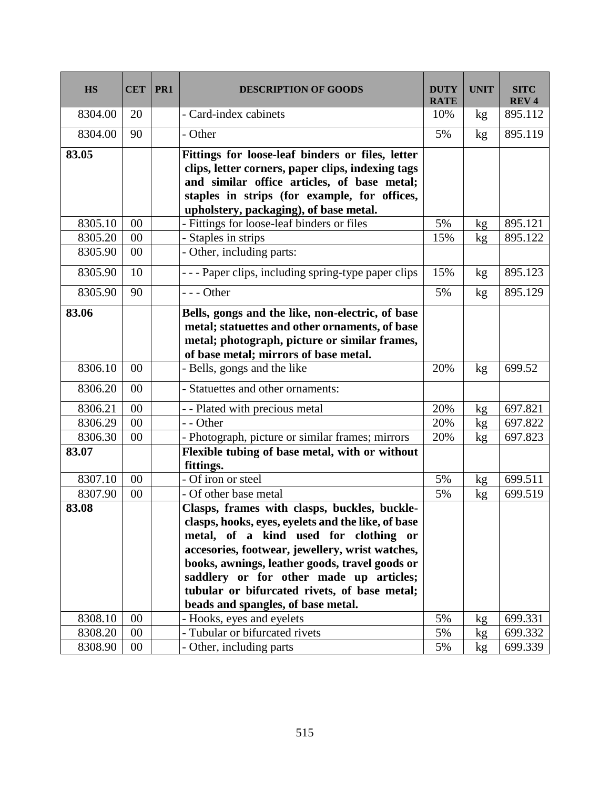| <b>HS</b> | <b>CET</b> | PR1 | <b>DESCRIPTION OF GOODS</b>                                                                                                                                                                                                                                                                                                                                                       | <b>DUTY</b><br><b>RATE</b> | <b>UNIT</b> | <b>SITC</b><br><b>REV4</b> |
|-----------|------------|-----|-----------------------------------------------------------------------------------------------------------------------------------------------------------------------------------------------------------------------------------------------------------------------------------------------------------------------------------------------------------------------------------|----------------------------|-------------|----------------------------|
| 8304.00   | 20         |     | - Card-index cabinets                                                                                                                                                                                                                                                                                                                                                             | 10%                        | kg          | 895.112                    |
| 8304.00   | 90         |     | - Other                                                                                                                                                                                                                                                                                                                                                                           | 5%                         | kg          | 895.119                    |
| 83.05     |            |     | Fittings for loose-leaf binders or files, letter<br>clips, letter corners, paper clips, indexing tags<br>and similar office articles, of base metal;<br>staples in strips (for example, for offices,<br>upholstery, packaging), of base metal.                                                                                                                                    |                            |             |                            |
| 8305.10   | 00         |     | - Fittings for loose-leaf binders or files                                                                                                                                                                                                                                                                                                                                        | 5%                         | kg          | 895.121                    |
| 8305.20   | 00         |     | - Staples in strips                                                                                                                                                                                                                                                                                                                                                               | 15%                        | kg          | 895.122                    |
| 8305.90   | 00         |     | - Other, including parts:                                                                                                                                                                                                                                                                                                                                                         |                            |             |                            |
| 8305.90   | 10         |     | --- Paper clips, including spring-type paper clips                                                                                                                                                                                                                                                                                                                                | 15%                        | kg          | 895.123                    |
| 8305.90   | 90         |     | $--$ Other                                                                                                                                                                                                                                                                                                                                                                        | 5%                         | kg          | 895.129                    |
| 83.06     |            |     | Bells, gongs and the like, non-electric, of base<br>metal; statuettes and other ornaments, of base<br>metal; photograph, picture or similar frames,<br>of base metal; mirrors of base metal.                                                                                                                                                                                      |                            |             |                            |
| 8306.10   | 00         |     | - Bells, gongs and the like                                                                                                                                                                                                                                                                                                                                                       | 20%                        | kg          | 699.52                     |
| 8306.20   | 00         |     | - Statuettes and other ornaments:                                                                                                                                                                                                                                                                                                                                                 |                            |             |                            |
| 8306.21   | 00         |     | - - Plated with precious metal                                                                                                                                                                                                                                                                                                                                                    | 20%                        | kg          | 697.821                    |
| 8306.29   | 00         |     | - - Other                                                                                                                                                                                                                                                                                                                                                                         | 20%                        | kg          | 697.822                    |
| 8306.30   | 00         |     | - Photograph, picture or similar frames; mirrors                                                                                                                                                                                                                                                                                                                                  | 20%                        | kg          | 697.823                    |
| 83.07     |            |     | Flexible tubing of base metal, with or without<br>fittings.                                                                                                                                                                                                                                                                                                                       |                            |             |                            |
| 8307.10   | 00         |     | - Of iron or steel                                                                                                                                                                                                                                                                                                                                                                | 5%                         | kg          | 699.511                    |
| 8307.90   | 00         |     | - Of other base metal                                                                                                                                                                                                                                                                                                                                                             | 5%                         | kg          | 699.519                    |
| 83.08     |            |     | Clasps, frames with clasps, buckles, buckle-<br>clasps, hooks, eyes, eyelets and the like, of base<br>metal, of a kind used for clothing or<br>accesories, footwear, jewellery, wrist watches,<br>books, awnings, leather goods, travel goods or<br>saddlery or for other made up articles;<br>tubular or bifurcated rivets, of base metal;<br>beads and spangles, of base metal. |                            |             |                            |
| 8308.10   | 00         |     | - Hooks, eyes and eyelets                                                                                                                                                                                                                                                                                                                                                         | 5%                         | kg          | 699.331                    |
| 8308.20   | 00         |     | - Tubular or bifurcated rivets                                                                                                                                                                                                                                                                                                                                                    | 5%                         | kg          | 699.332                    |
| 8308.90   | 00         |     | - Other, including parts                                                                                                                                                                                                                                                                                                                                                          | 5%                         | kg          | 699.339                    |